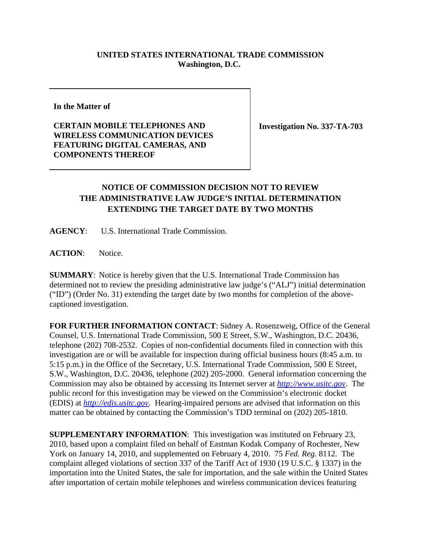## **UNITED STATES INTERNATIONAL TRADE COMMISSION Washington, D.C.**

**In the Matter of** 

**CERTAIN MOBILE TELEPHONES AND WIRELESS COMMUNICATION DEVICES FEATURING DIGITAL CAMERAS, AND COMPONENTS THEREOF**

**Investigation No. 337-TA-703**

## **NOTICE OF COMMISSION DECISION NOT TO REVIEW THE ADMINISTRATIVE LAW JUDGE'S INITIAL DETERMINATION EXTENDING THE TARGET DATE BY TWO MONTHS**

**AGENCY**: U.S. International Trade Commission.

ACTION: Notice.

**SUMMARY**: Notice is hereby given that the U.S. International Trade Commission has determined not to review the presiding administrative law judge's ("ALJ") initial determination ("ID") (Order No. 31) extending the target date by two months for completion of the abovecaptioned investigation.

**FOR FURTHER INFORMATION CONTACT**: Sidney A. Rosenzweig, Office of the General Counsel, U.S. International Trade Commission, 500 E Street, S.W., Washington, D.C. 20436, telephone (202) 708-2532. Copies of non-confidential documents filed in connection with this investigation are or will be available for inspection during official business hours (8:45 a.m. to 5:15 p.m.) in the Office of the Secretary, U.S. International Trade Commission, 500 E Street, S.W., Washington, D.C. 20436, telephone (202) 205-2000. General information concerning the Commission may also be obtained by accessing its Internet server at *http://www.usitc.gov*. The public record for this investigation may be viewed on the Commission's electronic docket (EDIS) at *http://edis.usitc.gov*. Hearing-impaired persons are advised that information on this matter can be obtained by contacting the Commission's TDD terminal on (202) 205-1810.

**SUPPLEMENTARY INFORMATION**: This investigation was instituted on February 23, 2010, based upon a complaint filed on behalf of Eastman Kodak Company of Rochester, New York on January 14, 2010, and supplemented on February 4, 2010. 75 *Fed. Reg.* 8112. The complaint alleged violations of section 337 of the Tariff Act of 1930 (19 U.S.C. § 1337) in the importation into the United States, the sale for importation, and the sale within the United States after importation of certain mobile telephones and wireless communication devices featuring